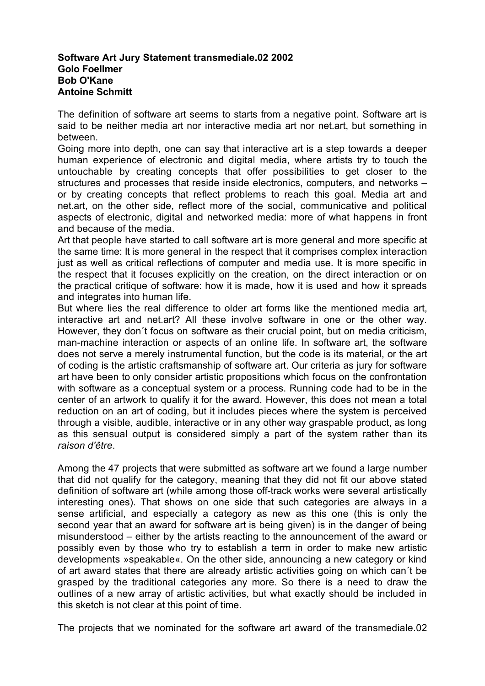## **Software Art Jury Statement transmediale.02 2002 Golo Foellmer Bob O'Kane Antoine Schmitt**

The definition of software art seems to starts from a negative point. Software art is said to be neither media art nor interactive media art nor net.art, but something in between.

Going more into depth, one can say that interactive art is a step towards a deeper human experience of electronic and digital media, where artists try to touch the untouchable by creating concepts that offer possibilities to get closer to the structures and processes that reside inside electronics, computers, and networks – or by creating concepts that reflect problems to reach this goal. Media art and net.art, on the other side, reflect more of the social, communicative and political aspects of electronic, digital and networked media: more of what happens in front and because of the media.

Art that people have started to call software art is more general and more specific at the same time: It is more general in the respect that it comprises complex interaction just as well as critical reflections of computer and media use. It is more specific in the respect that it focuses explicitly on the creation, on the direct interaction or on the practical critique of software: how it is made, how it is used and how it spreads and integrates into human life.

But where lies the real difference to older art forms like the mentioned media art, interactive art and net.art? All these involve software in one or the other way. However, they don´t focus on software as their crucial point, but on media criticism, man-machine interaction or aspects of an online life. In software art, the software does not serve a merely instrumental function, but the code is its material, or the art of coding is the artistic craftsmanship of software art. Our criteria as jury for software art have been to only consider artistic propositions which focus on the confrontation with software as a conceptual system or a process. Running code had to be in the center of an artwork to qualify it for the award. However, this does not mean a total reduction on an art of coding, but it includes pieces where the system is perceived through a visible, audible, interactive or in any other way graspable product, as long as this sensual output is considered simply a part of the system rather than its *raison d'être*.

Among the 47 projects that were submitted as software art we found a large number that did not qualify for the category, meaning that they did not fit our above stated definition of software art (while among those off-track works were several artistically interesting ones). That shows on one side that such categories are always in a sense artificial, and especially a category as new as this one (this is only the second year that an award for software art is being given) is in the danger of being misunderstood – either by the artists reacting to the announcement of the award or possibly even by those who try to establish a term in order to make new artistic developments »speakable«. On the other side, announcing a new category or kind of art award states that there are already artistic activities going on which can´t be grasped by the traditional categories any more. So there is a need to draw the outlines of a new array of artistic activities, but what exactly should be included in this sketch is not clear at this point of time.

The projects that we nominated for the software art award of the transmediale.02